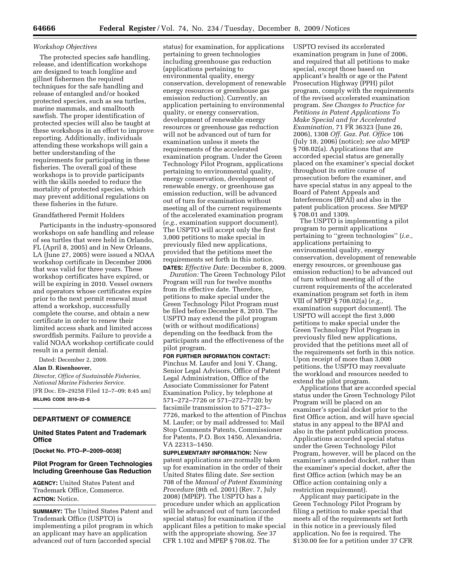### *Workshop Objectives*

The protected species safe handling, release, and identification workshops are designed to teach longline and gillnet fishermen the required techniques for the safe handling and release of entangled and/or hooked protected species, such as sea turtles, marine mammals, and smalltooth sawfish. The proper identification of protected species will also be taught at these workshops in an effort to improve reporting. Additionally, individuals attending these workshops will gain a better understanding of the requirements for participating in these fisheries. The overall goal of these workshops is to provide participants with the skills needed to reduce the mortality of protected species, which may prevent additional regulations on these fisheries in the future.

### Grandfathered Permit Holders

Participants in the industry-sponsored workshops on safe handling and release of sea turtles that were held in Orlando, FL (April 8, 2005) and in New Orleans, LA (June 27, 2005) were issued a NOAA workshop certificate in December 2006 that was valid for three years. These workshop certificates have expired, or will be expiring in 2010. Vessel owners and operators whose certificates expire prior to the next permit renewal must attend a workshop, successfully complete the course, and obtain a new certificate in order to renew their limited access shark and limited access swordfish permits. Failure to provide a valid NOAA workshop certificate could result in a permit denial.

Dated: December 2, 2009.

#### **Alan D. Risenhoover,**

*Director, Office of Sustainable Fisheries, National Marine Fisheries Service.*  [FR Doc. E9–29258 Filed 12–7–09; 8:45 am] **BILLING CODE 3510–22–S** 

# **DEPARTMENT OF COMMERCE**

## **United States Patent and Trademark Office**

**[Docket No. PTO–P–2009–0038]** 

# **Pilot Program for Green Technologies Including Greenhouse Gas Reduction**

**AGENCY:** United States Patent and Trademark Office, Commerce. **ACTION:** Notice.

**SUMMARY:** The United States Patent and Trademark Office (USPTO) is implementing a pilot program in which an applicant may have an application advanced out of turn (accorded special

status) for examination, for applications pertaining to green technologies including greenhouse gas reduction (applications pertaining to environmental quality, energy conservation, development of renewable energy resources or greenhouse gas emission reduction). Currently, an application pertaining to environmental quality, or energy conservation, development of renewable energy resources or greenhouse gas reduction will not be advanced out of turn for examination unless it meets the requirements of the accelerated examination program. Under the Green Technology Pilot Program, applications pertaining to environmental quality, energy conservation, development of renewable energy, or greenhouse gas emission reduction, will be advanced out of turn for examination without meeting all of the current requirements of the accelerated examination program (*e.g.,* examination support document). The USPTO will accept only the first 3,000 petitions to make special in previously filed new applications, provided that the petitions meet the requirements set forth in this notice. **DATES:** *Effective Date:* December 8, 2009.

*Duration:* The Green Technology Pilot Program will run for twelve months from its effective date. Therefore, petitions to make special under the Green Technology Pilot Program must be filed before December 8, 2010. The USPTO may extend the pilot program (with or without modifications) depending on the feedback from the participants and the effectiveness of the pilot program.

**FOR FURTHER INFORMATION CONTACT:**  Pinchus M. Laufer and Joni Y. Chang, Senior Legal Advisors, Office of Patent Legal Administration, Office of the Associate Commissioner for Patent Examination Policy, by telephone at 571–272–7726 or 571–272–7720; by facsimile transmission to 571–273– 7726, marked to the attention of Pinchus M. Laufer; or by mail addressed to: Mail Stop Comments Patents, Commissioner for Patents, P.O. Box 1450, Alexandria, VA 22313–1450.

**SUPPLEMENTARY INFORMATION:** New patent applications are normally taken up for examination in the order of their United States filing date. *See* section 708 of the *Manual of Patent Examining Procedure* (8th ed. 2001) (Rev. 7, July 2008) (MPEP). The USPTO has a procedure under which an application will be advanced out of turn (accorded special status) for examination if the applicant files a petition to make special with the appropriate showing. *See* 37 CFR 1.102 and MPEP § 708.02. The

USPTO revised its accelerated examination program in June of 2006, and required that all petitions to make special, except those based on applicant's health or age or the Patent Prosecution Highway (PPH) pilot program, comply with the requirements of the revised accelerated examination program. *See Changes to Practice for Petitions in Patent Applications To Make Special and for Accelerated Examination,* 71 FR 36323 (June 26, 2006), 1308 *Off. Gaz. Pat. Office* 106 (July 18, 2006) (notice); *see also* MPEP § 708.02(a). Applications that are accorded special status are generally placed on the examiner's special docket throughout its entire course of prosecution before the examiner, and have special status in any appeal to the Board of Patent Appeals and Interferences (BPAI) and also in the patent publication process. *See* MPEP § 708.01 and 1309.

The USPTO is implementing a pilot program to permit applications pertaining to ''green technologies'' (*i.e.,*  applications pertaining to environmental quality, energy conservation, development of renewable energy resources, or greenhouse gas emission reduction) to be advanced out of turn without meeting all of the current requirements of the accelerated examination program set forth in item VIII of MPEP § 708.02(a) (*e.g.,*  examination support document). The USPTO will accept the first 3,000 petitions to make special under the Green Technology Pilot Program in previously filed new applications, provided that the petitions meet all of the requirements set forth in this notice. Upon receipt of more than 3,000 petitions, the USPTO may reevaluate the workload and resources needed to extend the pilot program.

Applications that are accorded special status under the Green Technology Pilot Program will be placed on an examiner's special docket prior to the first Office action, and will have special status in any appeal to the BPAI and also in the patent publication process. Applications accorded special status under the Green Technology Pilot Program, however, will be placed on the examiner's amended docket, rather than the examiner's special docket, after the first Office action (which may be an Office action containing only a restriction requirement).

Applicant may participate in the Green Technology Pilot Program by filing a petition to make special that meets all of the requirements set forth in this notice in a previously filed application. No fee is required. The \$130.00 fee for a petition under 37 CFR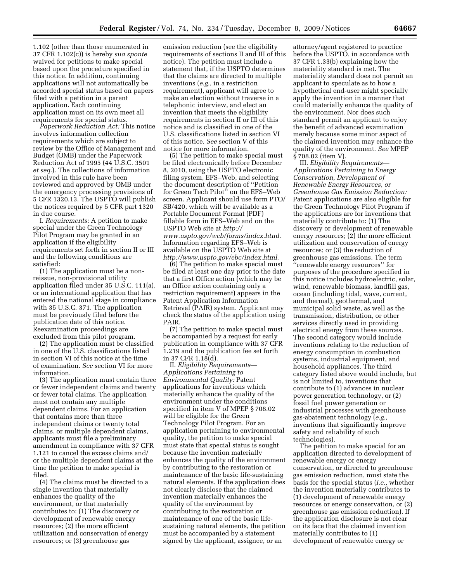1.102 (other than those enumerated in 37 CFR 1.102(c)) is hereby *sua sponte*  waived for petitions to make special based upon the procedure specified in this notice. In addition, continuing applications will not automatically be accorded special status based on papers filed with a petition in a parent application. Each continuing application must on its own meet all requirements for special status.

*Paperwork Reduction Act:* This notice involves information collection requirements which are subject to review by the Office of Management and Budget (OMB) under the Paperwork Reduction Act of 1995 (44 U.S.C. 3501 *et seq.*). The collections of information involved in this rule have been reviewed and approved by OMB under the emergency processing provisions of 5 CFR 1320.13. The USPTO will publish the notices required by 5 CFR part 1320 in due course.

I. *Requirements:* A petition to make special under the Green Technology Pilot Program may be granted in an application if the eligibility requirements set forth in section II or III and the following conditions are satisfied:

(1) The application must be a nonreissue, non-provisional utility application filed under 35 U.S.C. 111(a), or an international application that has entered the national stage in compliance with 35 U.S.C. 371. The application must be previously filed before the publication date of this notice. Reexamination proceedings are excluded from this pilot program.

(2) The application must be classified in one of the U.S. classifications listed in section VI of this notice at the time of examination. *See* section VI for more information.

(3) The application must contain three or fewer independent claims and twenty or fewer total claims. The application must not contain any multiple dependent claims. For an application that contains more than three independent claims or twenty total claims, or multiple dependent claims, applicants must file a preliminary amendment in compliance with 37 CFR 1.121 to cancel the excess claims and/ or the multiple dependent claims at the time the petition to make special is filed.

(4) The claims must be directed to a single invention that materially enhances the quality of the environment, or that materially contributes to: (1) The discovery or development of renewable energy resources; (2) the more efficient utilization and conservation of energy resources; or (3) greenhouse gas

emission reduction (see the eligibility requirements of sections II and III of this notice). The petition must include a statement that, if the USPTO determines that the claims are directed to multiple inventions (*e.g.,* in a restriction requirement), applicant will agree to make an election without traverse in a telephonic interview, and elect an invention that meets the eligibility requirements in section II or III of this notice and is classified in one of the U.S. classifications listed in section VI of this notice. *See* section V of this notice for more information.

(5) The petition to make special must be filed electronically before December 8, 2010, using the USPTO electronic filing system, EFS–Web, and selecting the document description of ''Petition for Green Tech Pilot'' on the EFS–Web screen. Applicant should use form PTO/ SB/420, which will be available as a Portable Document Format (PDF) fillable form in EFS–Web and on the USPTO Web site at *http:// www.uspto.gov/web/forms/index.html*. Information regarding EFS–Web is available on the USPTO Web site at *http://www.uspto.gov/ebc/index.html*.

(6) The petition to make special must be filed at least one day prior to the date that a first Office action (which may be an Office action containing only a restriction requirement) appears in the Patent Application Information Retrieval (PAIR) system. Applicant may check the status of the application using PAIR.

(7) The petition to make special must be accompanied by a request for early publication in compliance with 37 CFR 1.219 and the publication fee set forth in 37 CFR 1.18(d).

II. *Eligibility Requirements*— *Applications Pertaining to Environmental Quality:* Patent applications for inventions which materially enhance the quality of the environment under the conditions specified in item V of MPEP § 708.02 will be eligible for the Green Technology Pilot Program. For an application pertaining to environmental quality, the petition to make special must state that special status is sought because the invention materially enhances the quality of the environment by contributing to the restoration or maintenance of the basic life-sustaining natural elements. If the application does not clearly disclose that the claimed invention materially enhances the quality of the environment by contributing to the restoration or maintenance of one of the basic lifesustaining natural elements, the petition must be accompanied by a statement signed by the applicant, assignee, or an

attorney/agent registered to practice before the USPTO, in accordance with 37 CFR 1.33(b) explaining how the materiality standard is met. The materiality standard does not permit an applicant to speculate as to how a hypothetical end-user might specially apply the invention in a manner that could materially enhance the quality of the environment. Nor does such standard permit an applicant to enjoy the benefit of advanced examination merely because some minor aspect of the claimed invention may enhance the quality of the environment. *See* MPEP § 708.02 (item V).

III. *Eligibility Requirements*— *Applications Pertaining to Energy Conservation, Development of Renewable Energy Resources, or Greenhouse Gas Emission Reduction:*  Patent applications are also eligible for the Green Technology Pilot Program if the applications are for inventions that materially contribute to: (1) The discovery or development of renewable energy resources; (2) the more efficient utilization and conservation of energy resources; or (3) the reduction of greenhouse gas emissions. The term ''renewable energy resources'' for purposes of the procedure specified in this notice includes hydroelectric, solar, wind, renewable biomass, landfill gas, ocean (including tidal, wave, current, and thermal), geothermal, and municipal solid waste, as well as the transmission, distribution, or other services directly used in providing electrical energy from these sources. The second category would include inventions relating to the reduction of energy consumption in combustion

systems, industrial equipment, and household appliances. The third category listed above would include, but is not limited to, inventions that contribute to (1) advances in nuclear power generation technology, or (2) fossil fuel power generation or industrial processes with greenhouse gas-abatement technology (*e.g.,*  inventions that significantly improve safety and reliability of such technologies).

The petition to make special for an application directed to development of renewable energy or energy conservation, or directed to greenhouse gas emission reduction, must state the basis for the special status (*i.e.,* whether the invention materially contributes to (1) development of renewable energy resources or energy conservation, or (2) greenhouse gas emission reduction). If the application disclosure is not clear on its face that the claimed invention materially contributes to (1) development of renewable energy or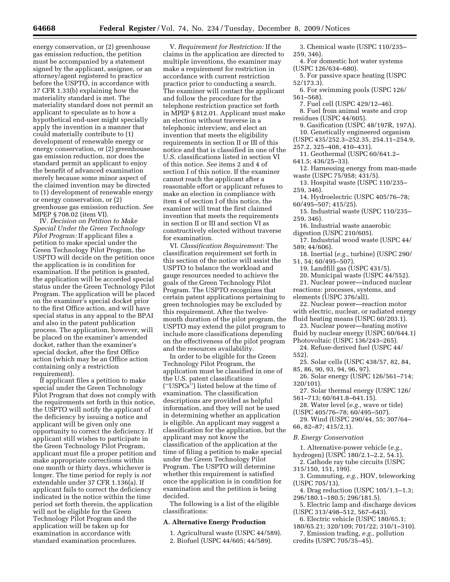energy conservation, or (2) greenhouse gas emission reduction, the petition must be accompanied by a statement signed by the applicant, assignee, or an attorney/agent registered to practice before the USPTO, in accordance with 37 CFR 1.33(b) explaining how the materiality standard is met. The materiality standard does not permit an applicant to speculate as to how a hypothetical end-user might specially apply the invention in a manner that could materially contribute to (1) development of renewable energy or energy conservation, or (2) greenhouse gas emission reduction, nor does the standard permit an applicant to enjoy the benefit of advanced examination merely because some minor aspect of the claimed invention may be directed to (1) development of renewable energy or energy conservation, or (2) greenhouse gas emission reduction. *See*  MPEP § 708.02 (item VI).

IV. *Decision on Petition to Make Special Under the Green Technology Pilot Program:* If applicant files a petition to make special under the Green Technology Pilot Program, the USPTO will decide on the petition once the application is in condition for examination. If the petition is granted, the application will be accorded special status under the Green Technology Pilot Program. The application will be placed on the examiner's special docket prior to the first Office action, and will have special status in any appeal to the BPAI and also in the patent publication process. The application, however, will be placed on the examiner's amended docket, rather than the examiner's special docket, after the first Office action (which may be an Office action containing only a restriction requirement).

If applicant files a petition to make special under the Green Technology Pilot Program that does not comply with the requirements set forth in this notice, the USPTO will notify the applicant of the deficiency by issuing a notice and applicant will be given only one opportunity to correct the deficiency. If applicant still wishes to participate in the Green Technology Pilot Program, applicant must file a proper petition and make appropriate corrections within one month or thirty days, whichever is longer. The time period for reply is *not*  extendable under 37 CFR 1.136(a). If applicant fails to correct the deficiency indicated in the notice within the time period set forth therein, the application will not be eligible for the Green Technology Pilot Program and the application will be taken up for examination in accordance with standard examination procedures.

V. *Requirement for Restriction:* If the claims in the application are directed to multiple inventions, the examiner may make a requirement for restriction in accordance with current restriction practice prior to conducting a search. The examiner will contact the applicant and follow the procedure for the telephone restriction practice set forth in MPEP § 812.01. Applicant must make an election without traverse in a telephonic interview, and elect an invention that meets the eligibility requirements in section II or III of this notice and that is classified in one of the U.S. classifications listed in section VI of this notice. *See* items 2 and 4 of section I of this notice. If the examiner cannot reach the applicant after a reasonable effort or applicant refuses to make an election in compliance with item 4 of section I of this notice, the examiner will treat the first claimed invention that meets the requirements in section II or III and section VI as constructively elected without traverse for examination.

VI. *Classification Requirement:* The classification requirement set forth in this section of the notice will assist the USPTO to balance the workload and gauge resources needed to achieve the goals of the Green Technology Pilot Program. The USPTO recognizes that certain patent applications pertaining to green technologies may be excluded by this requirement. After the twelvemonth duration of the pilot program, the USPTO may extend the pilot program to include more classifications depending on the effectiveness of the pilot program and the resources availability.

In order to be eligible for the Green Technology Pilot Program, the application must be classified in one of the U.S. patent classifications (''USPCs'') listed below at the time of examination. The classification descriptions are provided as helpful information, and they will not be used in determining whether an application is eligible. An applicant may suggest a classification for the application, but the applicant may not know the classification of the application at the time of filing a petition to make special under the Green Technology Pilot Program. The USPTO will determine whether this requirement is satisfied once the application is in condition for examination and the petition is being decided.

The following is a list of the eligible classifications:

# **A. Alternative Energy Production**

1. Agricultural waste (USPC 44/589). 2. Biofuel (USPC 44/605; 44/589).

- 3. Chemical waste (USPC 110/235– 259, 346).
- 4. For domestic hot water systems (USPC 126/634–680).
- 5. For passive space heating (USPC 52/173.3).
- 6. For swimming pools (USPC 126/ 561–568).
	- 7. Fuel cell (USPC 429/12–46).
- 8. Fuel from animal waste and crop residues (USPC 44/605).
- 9. Gasification (USPC 48/197R, 197A).
- 10. Genetically engineered organism
- (USPC 435/252.3–252.35, 254.11–254.9, 257.2, 325–408, 410–431).
- 11. Geothermal (USPC 60/641.2–
- 641.5; 436/25–33). 12. Harnessing energy from man-made waste (USPC 75/958; 431/5).
- 13. Hospital waste (USPC 110/235– 259, 346).
- 14. Hydroelectric (USPC 405/76–78; 60/495–507; 415/25).
- 15. Industrial waste (USPC 110/235– 259, 346).
- 16. Industrial waste anaerobic
- digestion (USPC 210/605). 17. Industrial wood waste (USPC 44/ 589; 44/606).
- 18. Inertial (*e.g.,* turbine) (USPC 290/ 51, 54; 60/495–507).
	- 19. Landfill gas (USPC 431/5).
	- 20. Municipal waste (USPC 44/552).
- 21. Nuclear power—induced nuclear reactions: processes, systems, and elements (USPC 376/all).
- 22. Nuclear power—reaction motor with electric, nuclear, or radiated energy fluid heating means (USPC 60/203.1).
- 23. Nuclear power—heating motive
- fluid by nuclear energy (USPC 60/644.1) Photovoltaic (USPC 136/243–265).

24. Refuse-derived fuel (USPC 44/ 552).

- 25. Solar cells (USPC 438/57, 82, 84, 85, 86, 90, 93, 94, 96, 97).
- 26. Solar energy (USPC 126/561–714; 320/101).
- 27. Solar thermal energy (USPC 126/ 561–713; 60/641.8–641.15).
- 28. Water level (*e.g.,* wave or tide) (USPC 405/76–78; 60/495–507).

29. Wind (USPC 290/44, 55; 307/64– 66, 82–87; 415/2.1).

*B. Energy Conservation* 

- 1. Alternative-power vehicle (*e.g.,*
- hydrogen) (USPC 180/2.1–2.2, 54.1). 2. Cathode ray tube circuits (USPC 315/150, 151, 199).
	- 3. Commuting, *e.g.,* HOV, teleworking
- (USPC 705/13).
- 4. Drag reduction (USPC 105/1.1–1.3; 296/180.1–180.5; 296/181.5).
- 5. Electric lamp and discharge devices (USPC 313/498–512, 567–643).
- 6. Electric vehicle (USPC 180/65.1; 180/65.21; 320/109; 701/22; 310/1–310).
- 7. Emission trading, *e.g.,* pollution credits (USPC 705/35–45).